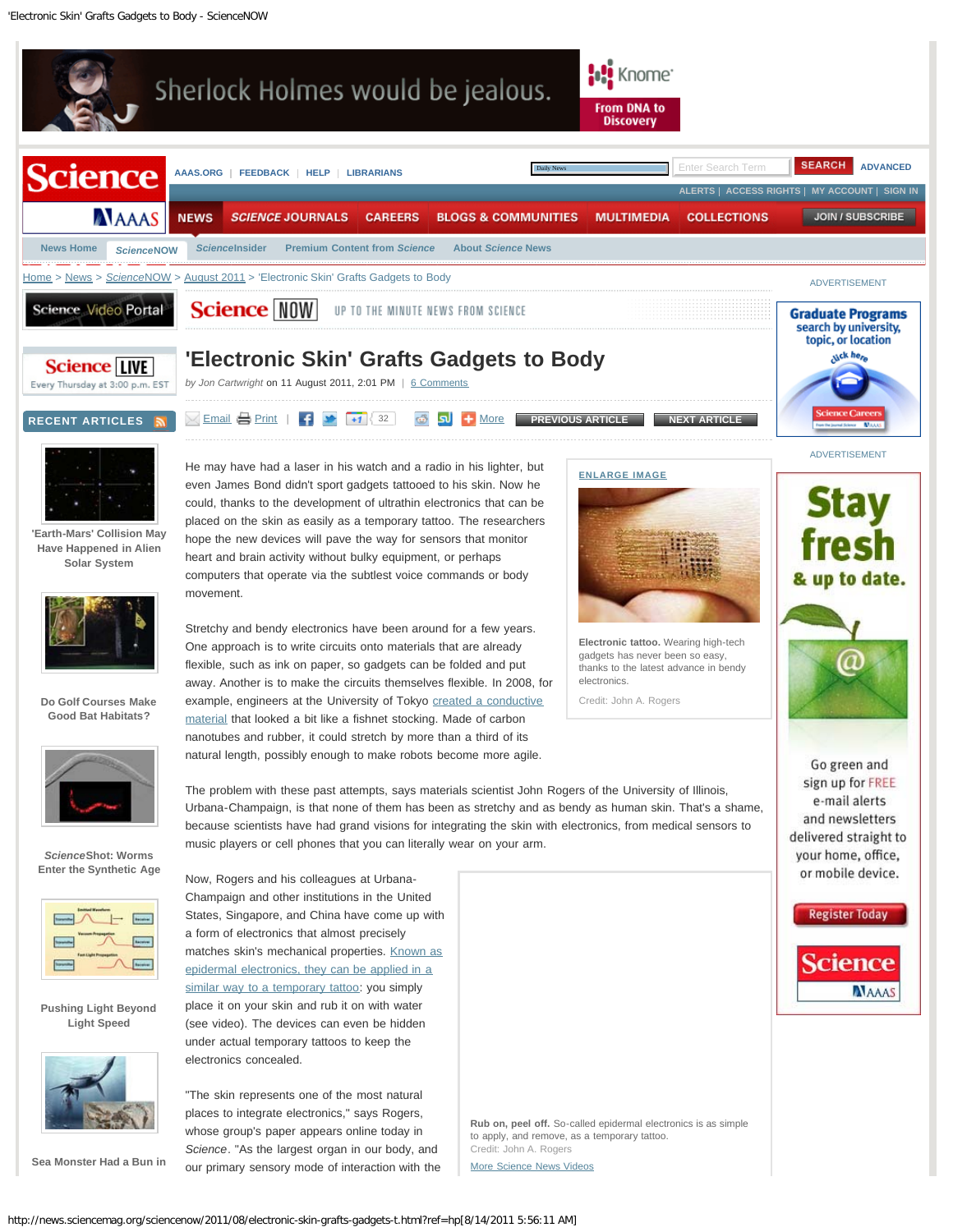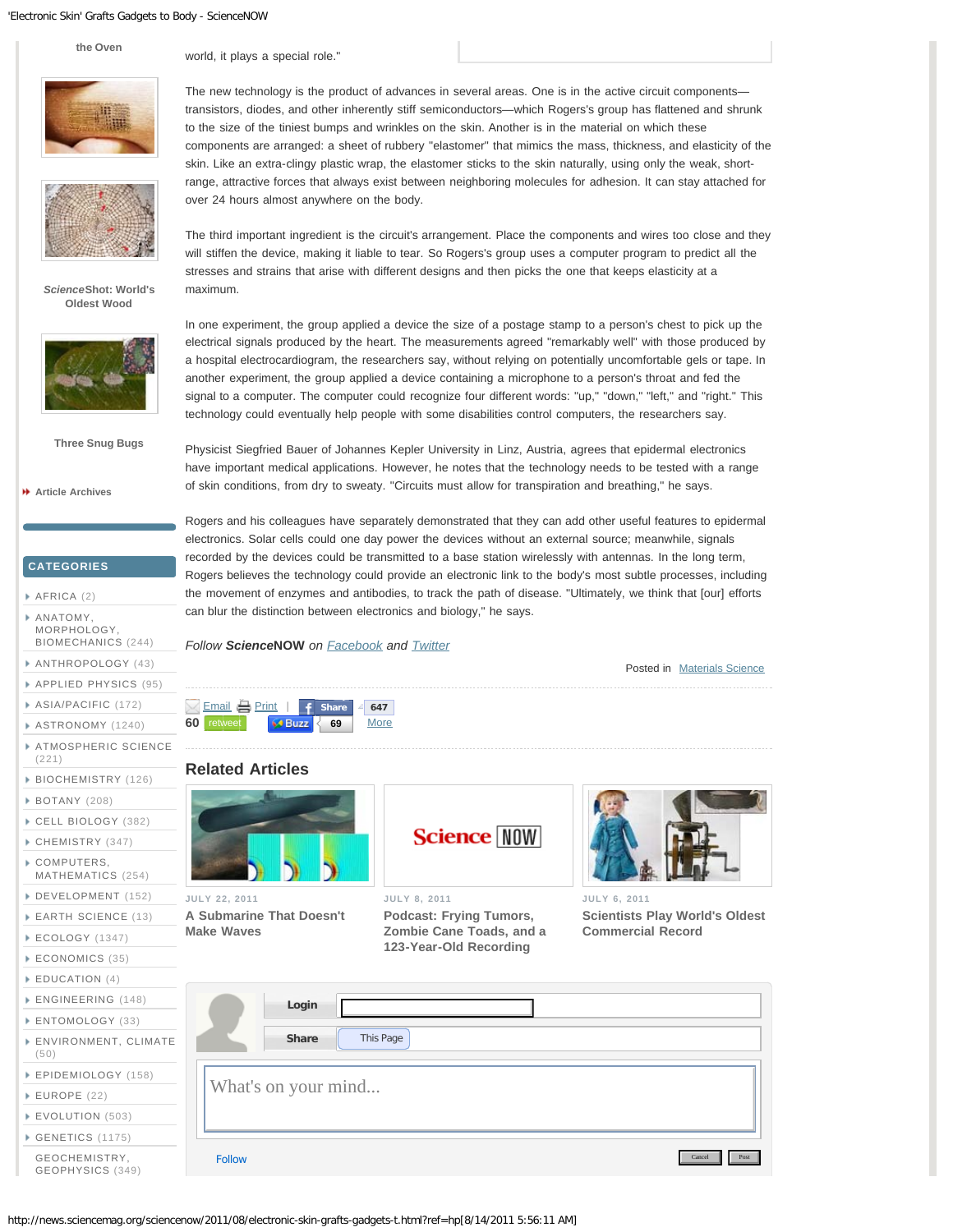'Electronic Skin' Grafts Gadgets to Body - ScienceNOW

**[the Oven](http://news.sciencemag.org/sciencenow/2011/08/sea-monster-had-a-bun-in-the-ove.html)**

world, it plays a special role."



*[Science](http://news.sciencemag.org/sciencenow/2011/08/scienceshot-worlds-oldest-wood.html)***[Shot: World's](http://news.sciencemag.org/sciencenow/2011/08/scienceshot-worlds-oldest-wood.html) [Oldest Wood](http://news.sciencemag.org/sciencenow/2011/08/scienceshot-worlds-oldest-wood.html)**



**[Three Snug Bugs](http://news.sciencemag.org/sciencenow/2011/08/three-snug-bugs.html)**

**[Article Archives](http://news.sciencemag.org/sciencenow/archives.html)**

**CATEGORIES**

- [AFRICA](http://news.sciencemag.org/sciencenow/africa/) (2)
- [ANATOMY,](http://news.sciencemag.org/sciencenow/anatomy-morphology-biomechanics/) [MORPHOLOGY,](http://news.sciencemag.org/sciencenow/anatomy-morphology-biomechanics/)
- [BIOMECHANICS](http://news.sciencemag.org/sciencenow/anatomy-morphology-biomechanics/) (244) [ANTHROPOLOGY](http://news.sciencemag.org/sciencenow/anthropology/) (43)
- [APPLIED PHYSICS](http://news.sciencemag.org/sciencenow/applied-physics/) (95)
- [ASIA/PACIFIC](http://news.sciencemag.org/sciencenow/asiapacific/) (172)
- [ASTRONOMY](http://news.sciencemag.org/sciencenow/astronomy/) (1240)
- 
- [ATMOSPHERIC SCIENCE](http://news.sciencemag.org/sciencenow/atmospheric-science/) (221)
- [BIOCHEMISTRY](http://news.sciencemag.org/sciencenow/biochemistry/) (126)
- [BOTANY](http://news.sciencemag.org/sciencenow/botany/) (208)
- [CELL BIOLOGY](http://news.sciencemag.org/sciencenow/cell-biology/) (382)
- [CHEMISTRY](http://news.sciencemag.org/sciencenow/chemistry/) (347)
- [COMPUTERS,](http://news.sciencemag.org/sciencenow/computers-mathematics/)
- [MATHEMATICS](http://news.sciencemag.org/sciencenow/computers-mathematics/) (254)
- [DEVELOPMENT](http://news.sciencemag.org/sciencenow/development/) (152)
- [EARTH SCIENCE](http://news.sciencemag.org/sciencenow/earth-science/) (13)
- [ECOLOGY](http://news.sciencemag.org/sciencenow/ecology/) (1347)
- [ECONOMICS](http://news.sciencemag.org/sciencenow/economics/) (35)
- **EDUCATION** (4)
- **ENGINEERING**
- **ENTOMOLOGY**
- **ENVIRONMEN**
- (50) **EPIDEMIOLOG**
- [EUROPE](http://news.sciencemag.org/sciencenow/europe/) (22)
- 
- **[EVOLUTION](http://news.sciencemag.org/sciencenow/evolution/) (** [GENETICS](http://news.sciencemag.org/sciencenow/genetics/) (1
- GEOCHEMIST
- **GEOPHYSICS**

The new technology is the product of advances in several areas. One is in the active circuit components transistors, diodes, and other inherently stiff semiconductors—which Rogers's group has flattened and shrunk to the size of the tiniest bumps and wrinkles on the skin. Another is in the material on which these components are arranged: a sheet of rubbery "elastomer" that mimics the mass, thickness, and elasticity of the skin. Like an extra-clingy plastic wrap, the elastomer sticks to the skin naturally, using only the weak, shortrange, attractive forces that always exist between neighboring molecules for adhesion. It can stay attached for over 24 hours almost anywhere on the body.

The third important ingredient is the circuit's arrangement. Place the components and wires too close and they will stiffen the device, making it liable to tear. So Rogers's group uses a computer program to predict all the stresses and strains that arise with different designs and then picks the one that keeps elasticity at a maximum.

In one experiment, the group applied a device the size of a postage stamp to a person's chest to pick up the electrical signals produced by the heart. The measurements agreed "remarkably well" with those produced by a hospital electrocardiogram, the researchers say, without relying on potentially uncomfortable gels or tape. In another experiment, the group applied a device containing a microphone to a person's throat and fed the signal to a computer. The computer could recognize four different words: "up," "down," "left," and "right." This technology could eventually help people with some disabilities control computers, the researchers say.

Physicist Siegfried Bauer of Johannes Kepler University in Linz, Austria, agrees that epidermal electronics have important medical applications. However, he notes that the technology needs to be tested with a range of skin conditions, from dry to sweaty. "Circuits must allow for transpiration and breathing," he says.

Rogers and his colleagues have separately demonstrated that they can add other useful features to epidermal electronics. Solar cells could one day power the devices without an external source; meanwhile, signals recorded by the devices could be transmitted to a base station wirelessly with antennas. In the long term, Rogers believes the technology could provide an electronic link to the body's most subtle processes, including the movement of enzymes and antibodies, to track the path of disease. "Ultimately, we think that [our] efforts can blur the distinction between electronics and biology," he says.

*Follow Science***NOW** *on [Facebook](http://www.facebook.com/home.php#!/sciencenow) and [Twitter](http://twitter.com/#!/sciencenow)*

Posted in [Materials Science](http://news.sciencemag.org/sciencenow/materials-science/)



## **Related Articles**



**JULY 22, 2011 [A Submarine That Doesn't](http://news.sciencemag.org/sciencenow/2011/07/a-submarine-that-doesnt-make-wav.html) [Make Waves](http://news.sciencemag.org/sciencenow/2011/07/a-submarine-that-doesnt-make-wav.html)**



**JULY 8, 2011 [Podcast: Frying Tumors,](http://news.sciencemag.org/sciencenow/2011/07/podcast-frying-tumors-zombie-cane.html) [Zombie Cane Toads, and a](http://news.sciencemag.org/sciencenow/2011/07/podcast-frying-tumors-zombie-cane.html) [123-Year-Old Recording](http://news.sciencemag.org/sciencenow/2011/07/podcast-frying-tumors-zombie-cane.html)**



**JULY 6, 2011 [Scientists Play World's Oldest](http://news.sciencemag.org/sciencenow/2011/07/scientists-play-worlds-oldest-co.html) [Commercial Record](http://news.sciencemag.org/sciencenow/2011/07/scientists-play-worlds-oldest-co.html)**

| $\sim$          |                          |
|-----------------|--------------------------|
| 3(148)<br>Y(33) | Login                    |
| IT, CLIMATE     | This Page<br>Share       |
| GY (158)        | What's on your mind      |
| 503)            |                          |
| 175)            |                          |
| RY,<br>(349)    | Cancel<br>Post<br>Follow |